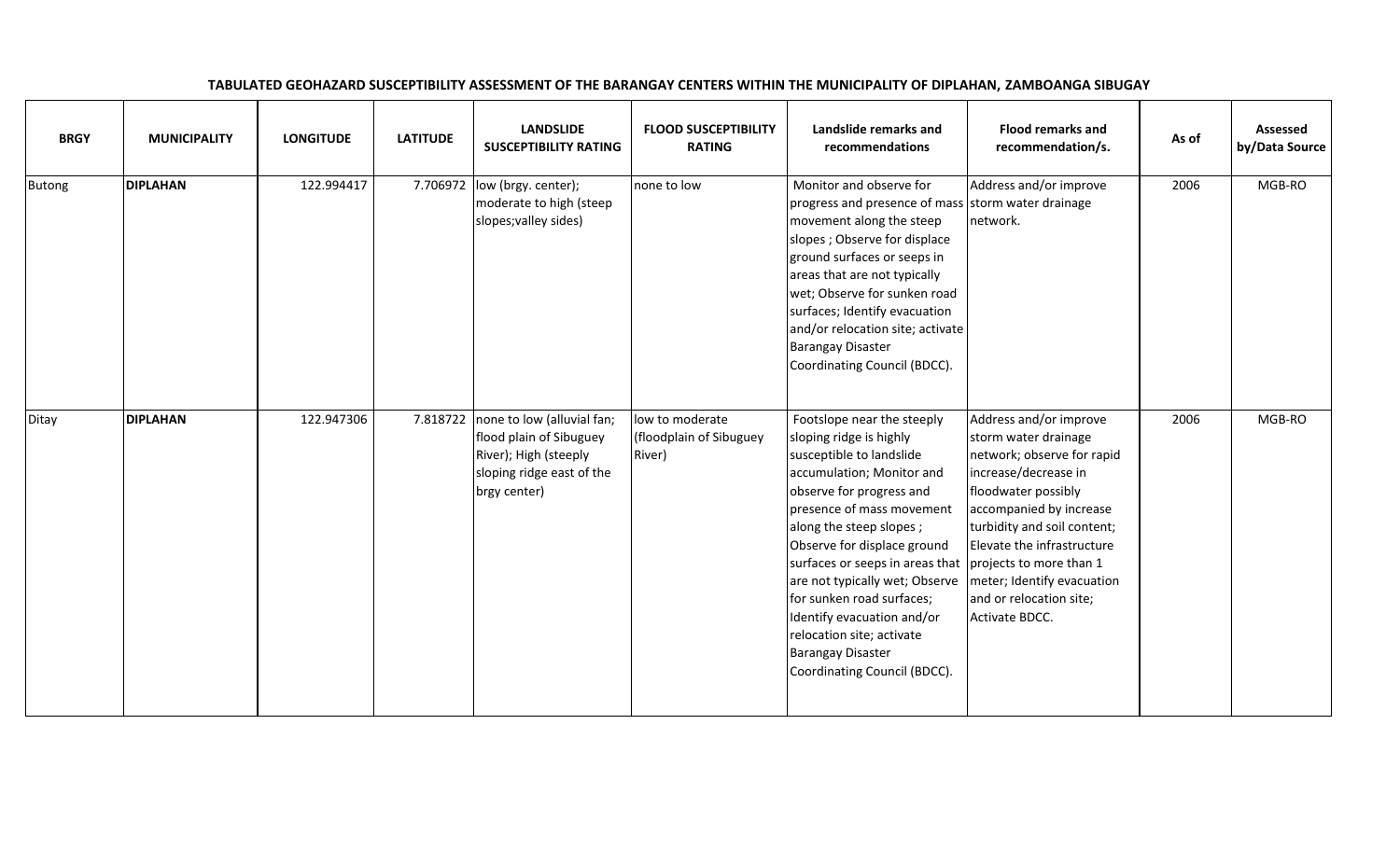| <b>BRGY</b>   | <b>MUNICIPALITY</b> | <b>LONGITUDE</b> | <b>LATITUDE</b> | <b>LANDSLIDE</b><br><b>SUSCEPTIBILITY RATING</b>                                                                            | <b>FLOOD SUSCEPTIBILITY</b><br><b>RATING</b>         | Landslide remarks and<br>recommendations                                                                                                                                                                                                                                                                                                                                                                                                                                                                        | <b>Flood remarks and</b><br>recommendation/s.                                                                                                                                                                                                                    | As of | Assessed<br>by/Data Source |
|---------------|---------------------|------------------|-----------------|-----------------------------------------------------------------------------------------------------------------------------|------------------------------------------------------|-----------------------------------------------------------------------------------------------------------------------------------------------------------------------------------------------------------------------------------------------------------------------------------------------------------------------------------------------------------------------------------------------------------------------------------------------------------------------------------------------------------------|------------------------------------------------------------------------------------------------------------------------------------------------------------------------------------------------------------------------------------------------------------------|-------|----------------------------|
| <b>Butong</b> | <b>DIPLAHAN</b>     | 122.994417       | 7.706972        | low (brgy. center);<br>moderate to high (steep<br>slopes; valley sides)                                                     | none to low                                          | Monitor and observe for<br>progress and presence of mass storm water drainage<br>movement along the steep<br>slopes ; Observe for displace<br>ground surfaces or seeps in<br>areas that are not typically<br>wet; Observe for sunken road<br>surfaces; Identify evacuation<br>and/or relocation site; activate<br><b>Barangay Disaster</b><br>Coordinating Council (BDCC).                                                                                                                                      | Address and/or improve<br>network.                                                                                                                                                                                                                               | 2006  | MGB-RO                     |
| Ditay         | <b>DIPLAHAN</b>     | 122.947306       | 7.818722        | none to low (alluvial fan;<br>flood plain of Sibuguey<br>River); High (steeply<br>sloping ridge east of the<br>brgy center) | low to moderate<br>(floodplain of Sibuguey<br>River) | Footslope near the steeply<br>sloping ridge is highly<br>susceptible to landslide<br>accumulation; Monitor and<br>observe for progress and<br>presence of mass movement<br>along the steep slopes;<br>Observe for displace ground<br>surfaces or seeps in areas that projects to more than 1<br>are not typically wet; Observe   meter; Identify evacuation<br>for sunken road surfaces;<br>Identify evacuation and/or<br>relocation site; activate<br><b>Barangay Disaster</b><br>Coordinating Council (BDCC). | Address and/or improve<br>storm water drainage<br>network; observe for rapid<br>increase/decrease in<br>floodwater possibly<br>accompanied by increase<br>turbidity and soil content;<br>Elevate the infrastructure<br>and or relocation site;<br>Activate BDCC. | 2006  | MGB-RO                     |

## TABULATED GEOHAZARD SUSCEPTIBILITY ASSESSMENT OF THE BARANGAY CENTERS WITHIN THE MUNICIPALITY OF DIPLAHAN, ZAMBOANGA SIBUGAY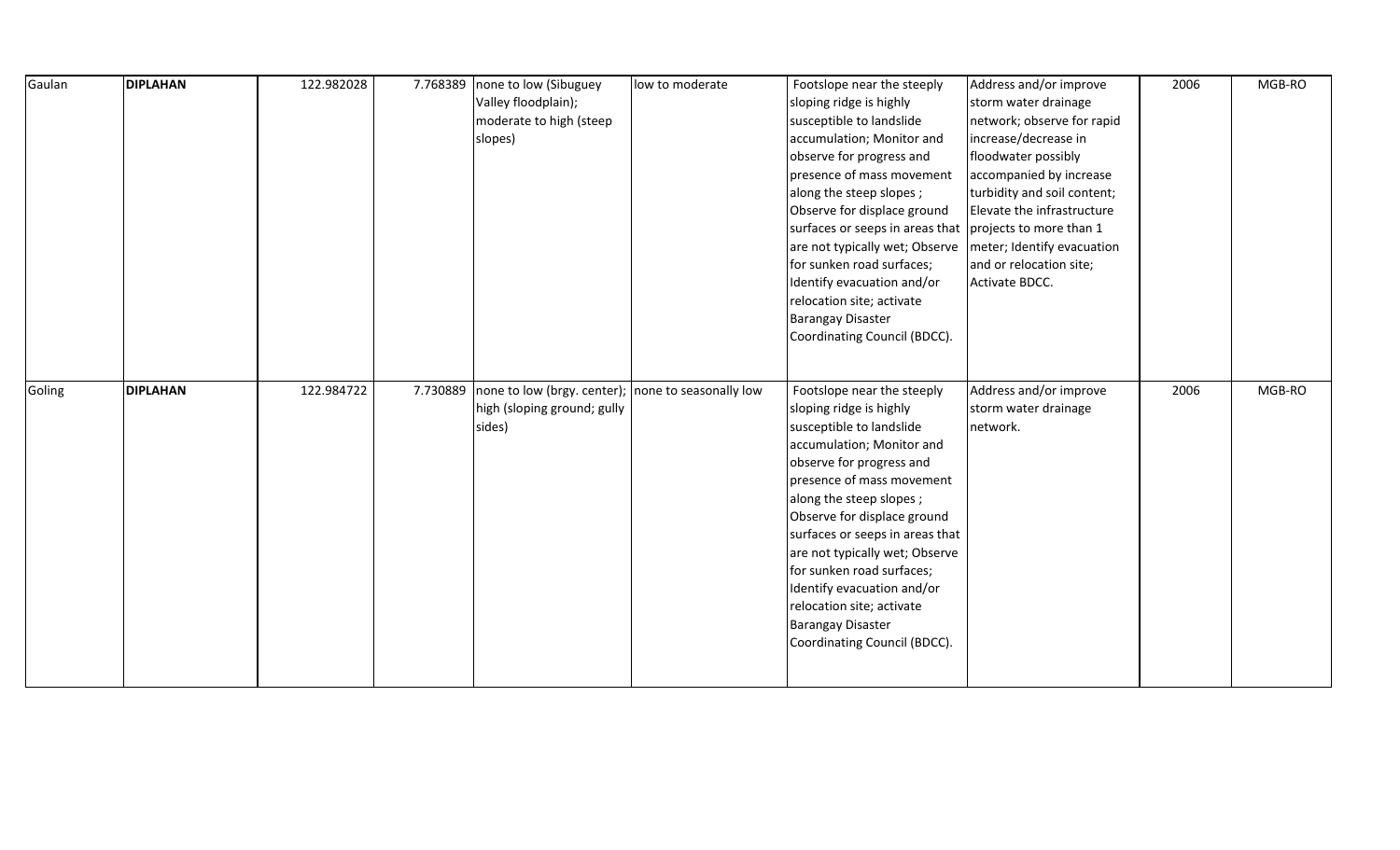| Gaulan | <b>DIPLAHAN</b> | 122.982028 | 7.768389 | none to low (Sibuguey<br>Valley floodplain);<br>moderate to high (steep<br>slopes)          | low to moderate | Footslope near the steeply<br>sloping ridge is highly<br>susceptible to landslide<br>accumulation; Monitor and<br>observe for progress and<br>presence of mass movement<br>along the steep slopes;<br>Observe for displace ground<br>surfaces or seeps in areas that projects to more than 1<br>are not typically wet; Observe<br>for sunken road surfaces;<br>Identify evacuation and/or<br>relocation site; activate<br><b>Barangay Disaster</b><br>Coordinating Council (BDCC). | Address and/or improve<br>storm water drainage<br>network; observe for rapid<br>increase/decrease in<br>floodwater possibly<br>accompanied by increase<br>turbidity and soil content;<br>Elevate the infrastructure<br>meter; Identify evacuation<br>and or relocation site;<br>Activate BDCC. | 2006 | MGB-RO |
|--------|-----------------|------------|----------|---------------------------------------------------------------------------------------------|-----------------|------------------------------------------------------------------------------------------------------------------------------------------------------------------------------------------------------------------------------------------------------------------------------------------------------------------------------------------------------------------------------------------------------------------------------------------------------------------------------------|------------------------------------------------------------------------------------------------------------------------------------------------------------------------------------------------------------------------------------------------------------------------------------------------|------|--------|
| Goling | <b>DIPLAHAN</b> | 122.984722 | 7.730889 | none to low (brgy. center); none to seasonally low<br>high (sloping ground; gully<br>sides) |                 | Footslope near the steeply<br>sloping ridge is highly<br>susceptible to landslide<br>accumulation; Monitor and<br>observe for progress and<br>presence of mass movement<br>along the steep slopes;<br>Observe for displace ground<br>surfaces or seeps in areas that<br>are not typically wet; Observe<br>for sunken road surfaces;<br>Identify evacuation and/or<br>relocation site; activate<br><b>Barangay Disaster</b><br>Coordinating Council (BDCC).                         | Address and/or improve<br>storm water drainage<br>network.                                                                                                                                                                                                                                     | 2006 | MGB-RO |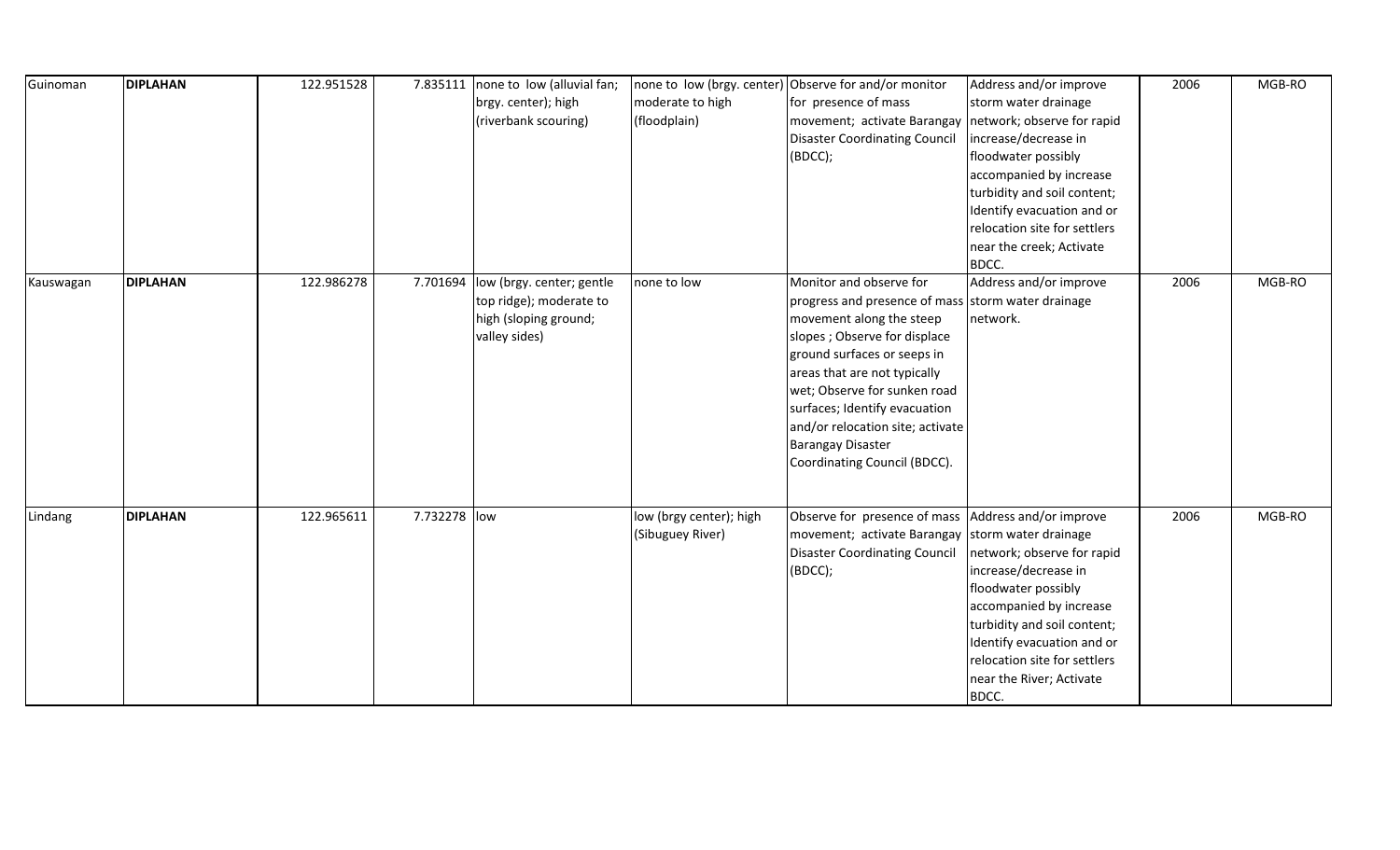| Guinoman  | <b>DIPLAHAN</b> | 122.951528 | 7.835111     | none to low (alluvial fan;<br>brgy. center); high<br>(riverbank scouring)                      | none to low (brgy. center)<br>moderate to high<br>(floodplain) | Observe for and/or monitor<br>for presence of mass<br>movement; activate Barangay<br><b>Disaster Coordinating Council</b><br>(BDCC);                                                                                                                                                                                                                                       | Address and/or improve<br>storm water drainage<br>network; observe for rapid<br>increase/decrease in<br>floodwater possibly<br>accompanied by increase<br>turbidity and soil content;<br>Identify evacuation and or<br>relocation site for settlers<br>near the creek; Activate<br>BDCC. | 2006 | MGB-RO |
|-----------|-----------------|------------|--------------|------------------------------------------------------------------------------------------------|----------------------------------------------------------------|----------------------------------------------------------------------------------------------------------------------------------------------------------------------------------------------------------------------------------------------------------------------------------------------------------------------------------------------------------------------------|------------------------------------------------------------------------------------------------------------------------------------------------------------------------------------------------------------------------------------------------------------------------------------------|------|--------|
| Kauswagan | <b>DIPLAHAN</b> | 122.986278 | 7.701694     | low (brgy. center; gentle<br>top ridge); moderate to<br>high (sloping ground;<br>valley sides) | none to low                                                    | Monitor and observe for<br>progress and presence of mass storm water drainage<br>movement along the steep<br>slopes ; Observe for displace<br>ground surfaces or seeps in<br>areas that are not typically<br>wet; Observe for sunken road<br>surfaces; Identify evacuation<br>and/or relocation site; activate<br><b>Barangay Disaster</b><br>Coordinating Council (BDCC). | Address and/or improve<br>network.                                                                                                                                                                                                                                                       | 2006 | MGB-RO |
| Lindang   | <b>DIPLAHAN</b> | 122.965611 | 7.732278 low |                                                                                                | low (brgy center); high<br>(Sibuguey River)                    | Observe for presence of mass Address and/or improve<br>movement; activate Barangay storm water drainage<br><b>Disaster Coordinating Council</b><br>(BDCC);                                                                                                                                                                                                                 | network; observe for rapid<br>increase/decrease in<br>floodwater possibly<br>accompanied by increase<br>turbidity and soil content;<br>Identify evacuation and or<br>relocation site for settlers<br>near the River; Activate<br>BDCC.                                                   | 2006 | MGB-RO |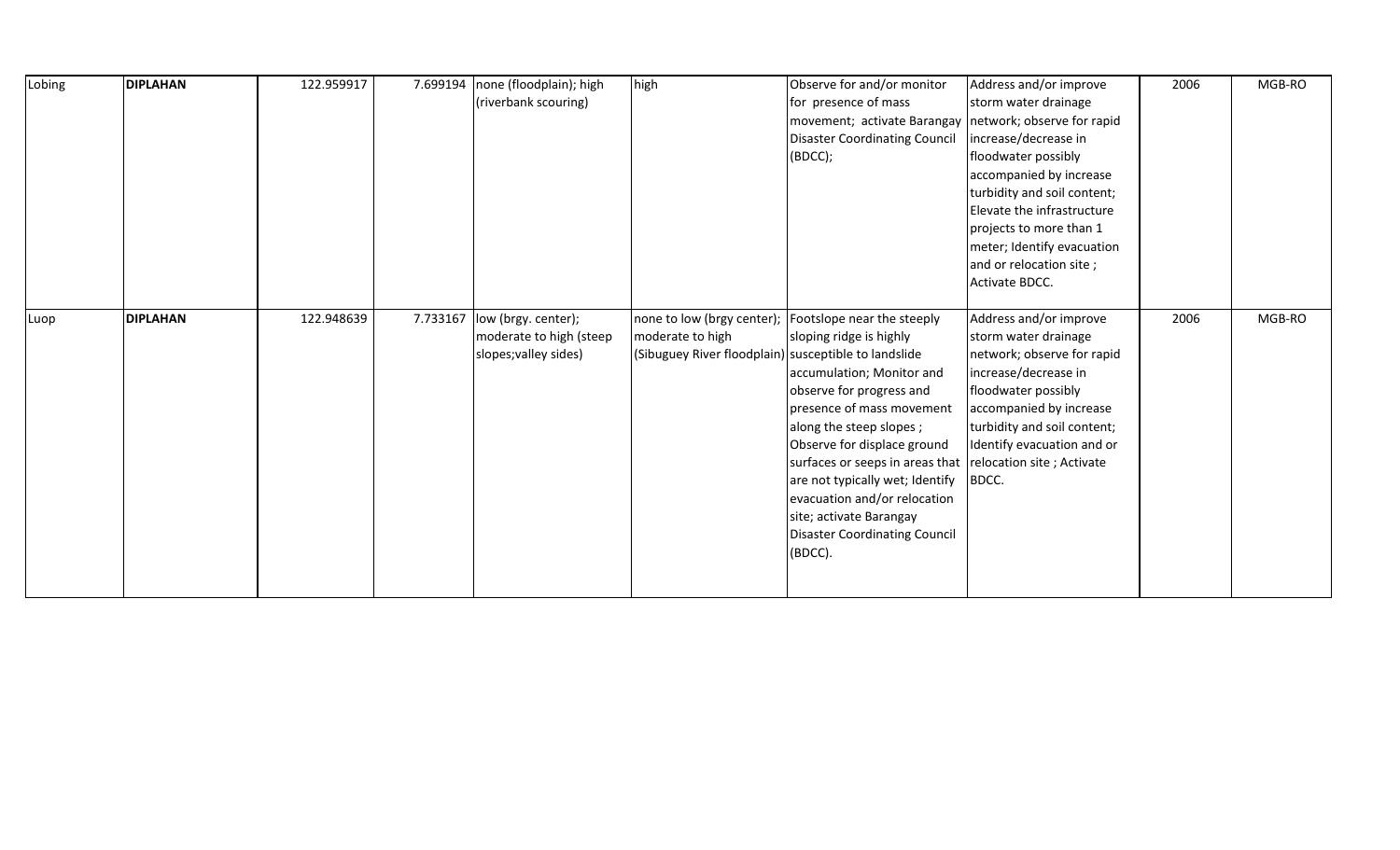| Lobing | <b>DIPLAHAN</b> | 122.959917 | 7.699194 | none (floodplain); high<br>(riverbank scouring)                         | high                                                                     | Observe for and/or monitor<br>for presence of mass<br>movement; activate Barangay   network; observe for rapid<br><b>Disaster Coordinating Council</b><br>(BDCC);                                                                                                                                                                                                                                                                                | Address and/or improve<br>storm water drainage<br>increase/decrease in<br>floodwater possibly<br>accompanied by increase<br>turbidity and soil content;<br>Elevate the infrastructure<br>projects to more than 1<br>meter; Identify evacuation<br>and or relocation site;<br>Activate BDCC. | 2006 | MGB-RO |
|--------|-----------------|------------|----------|-------------------------------------------------------------------------|--------------------------------------------------------------------------|--------------------------------------------------------------------------------------------------------------------------------------------------------------------------------------------------------------------------------------------------------------------------------------------------------------------------------------------------------------------------------------------------------------------------------------------------|---------------------------------------------------------------------------------------------------------------------------------------------------------------------------------------------------------------------------------------------------------------------------------------------|------|--------|
| Luop   | <b>DIPLAHAN</b> | 122.948639 | 7.733167 | low (brgy. center);<br>moderate to high (steep<br>slopes; valley sides) | moderate to high<br>(Sibuguey River floodplain) susceptible to landslide | none to low (brgy center);   Footslope near the steeply<br>sloping ridge is highly<br>accumulation; Monitor and<br>observe for progress and<br>presence of mass movement<br>along the steep slopes;<br>Observe for displace ground<br>surfaces or seeps in areas that relocation site; Activate<br>are not typically wet; Identify<br>evacuation and/or relocation<br>site; activate Barangay<br><b>Disaster Coordinating Council</b><br>(BDCC). | Address and/or improve<br>storm water drainage<br>network; observe for rapid<br>increase/decrease in<br>floodwater possibly<br>accompanied by increase<br>turbidity and soil content;<br>Identify evacuation and or<br>BDCC.                                                                | 2006 | MGB-RO |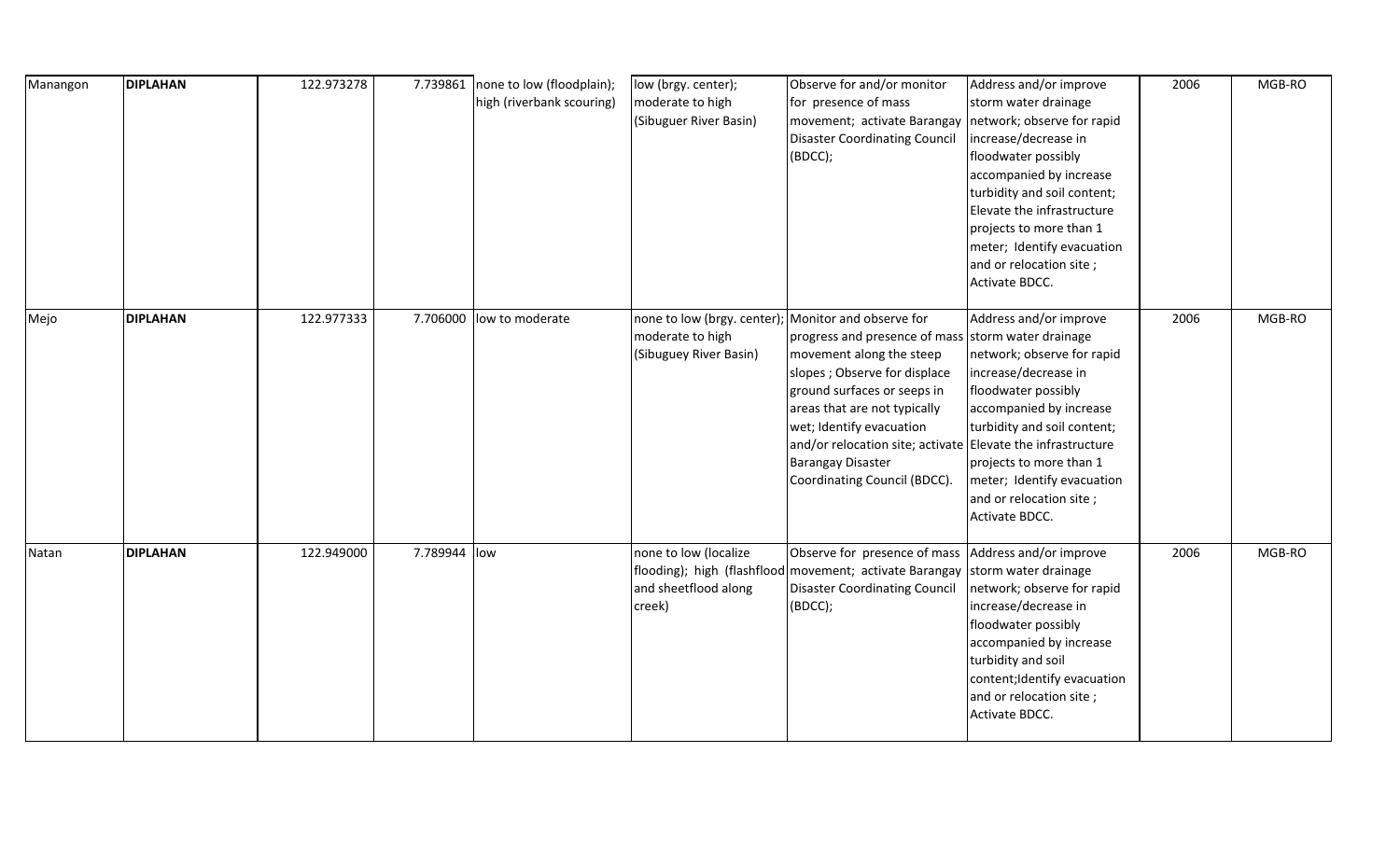| Manangon | <b>DIPLAHAN</b> | 122.973278 |              | 7.739861 none to low (floodplain);<br>high (riverbank scouring) | low (brgy. center);<br>moderate to high<br>(Sibuguer River Basin)                                 | Observe for and/or monitor<br>for presence of mass<br>movement; activate Barangay<br><b>Disaster Coordinating Council</b><br>(BDCC);                                                                                                                                                                                                  | Address and/or improve<br>storm water drainage<br>network; observe for rapid<br>increase/decrease in<br>floodwater possibly<br>accompanied by increase<br>turbidity and soil content;<br>Elevate the infrastructure<br>projects to more than 1<br>meter; Identify evacuation<br>and or relocation site;<br>Activate BDCC. | 2006 | MGB-RO |
|----------|-----------------|------------|--------------|-----------------------------------------------------------------|---------------------------------------------------------------------------------------------------|---------------------------------------------------------------------------------------------------------------------------------------------------------------------------------------------------------------------------------------------------------------------------------------------------------------------------------------|---------------------------------------------------------------------------------------------------------------------------------------------------------------------------------------------------------------------------------------------------------------------------------------------------------------------------|------|--------|
| Mejo     | <b>DIPLAHAN</b> | 122.977333 | 7.706000     | low to moderate                                                 | none to low (brgy. center); Monitor and observe for<br>moderate to high<br>(Sibuguey River Basin) | progress and presence of mass storm water drainage<br>movement along the steep<br>slopes ; Observe for displace<br>ground surfaces or seeps in<br>areas that are not typically<br>wet; Identify evacuation<br>and/or relocation site; activate Elevate the infrastructure<br><b>Barangay Disaster</b><br>Coordinating Council (BDCC). | Address and/or improve<br>network; observe for rapid<br>increase/decrease in<br>floodwater possibly<br>accompanied by increase<br>turbidity and soil content;<br>projects to more than 1<br>meter; Identify evacuation<br>and or relocation site;<br>Activate BDCC.                                                       | 2006 | MGB-RO |
| Natan    | <b>DIPLAHAN</b> | 122.949000 | 7.789944 low |                                                                 | none to low (localize<br>and sheetflood along<br>creek)                                           | Observe for presence of mass Address and/or improve<br>flooding); high (flashflood movement; activate Barangay sttorm water drainage<br><b>Disaster Coordinating Council</b><br>(BDCC);                                                                                                                                               | network; observe for rapid<br>increase/decrease in<br>floodwater possibly<br>accompanied by increase<br>turbidity and soil<br>content; Identify evacuation<br>and or relocation site;<br>Activate BDCC.                                                                                                                   | 2006 | MGB-RO |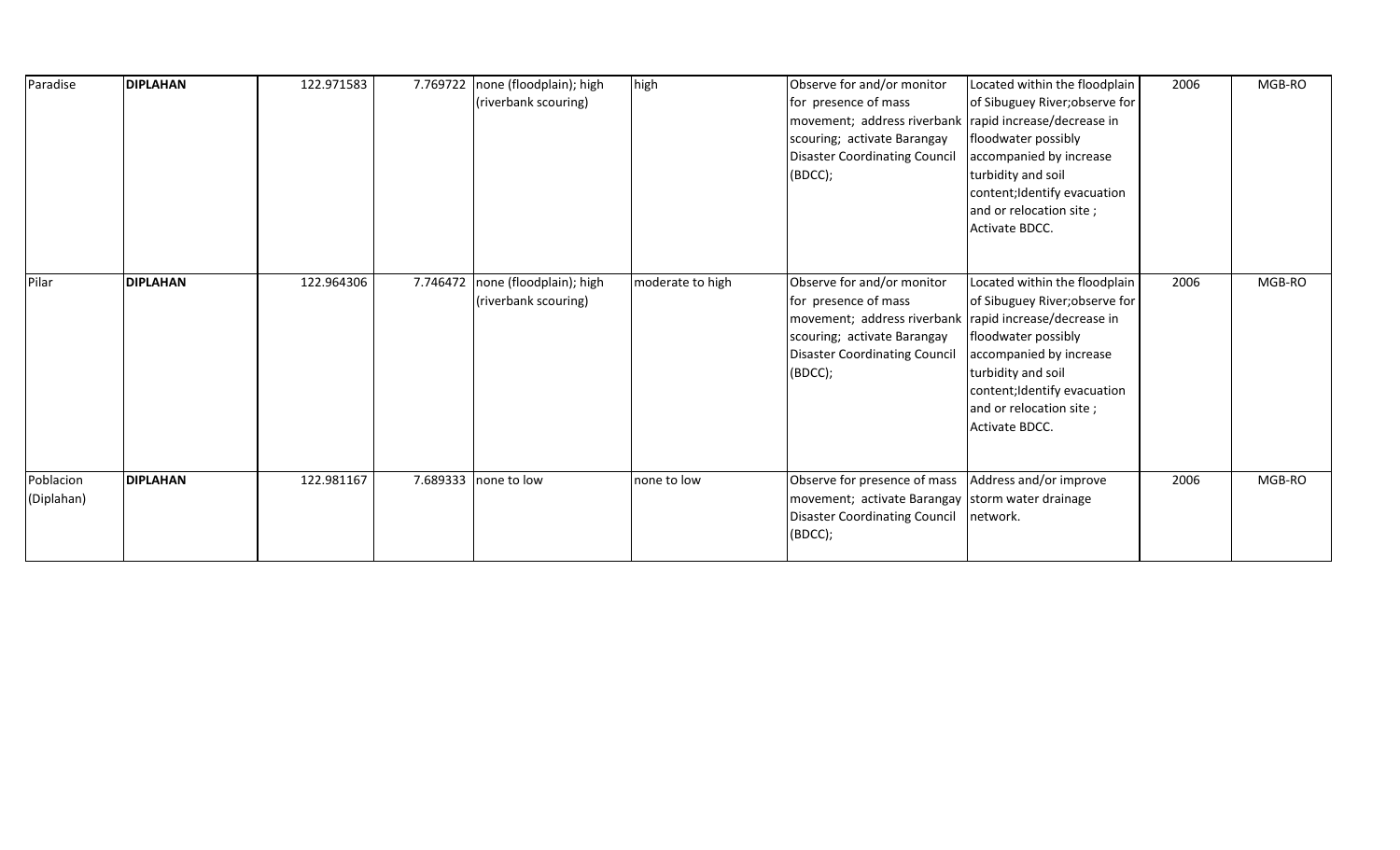| Paradise                | <b>DIPLAHAN</b> | 122.971583 |          | 7.769722   none (floodplain); high<br>(riverbank scouring) | high             | Observe for and/or monitor<br>for presence of mass<br>movement; address riverbank<br>scouring; activate Barangay<br><b>Disaster Coordinating Council</b><br>(BDCC);                            | Located within the floodplain<br>of Sibuguey River; observe for<br>rapid increase/decrease in<br>floodwater possibly<br>accompanied by increase<br>turbidity and soil<br>content; Identify evacuation<br>and or relocation site;<br>Activate BDCC. | 2006 | MGB-RO |
|-------------------------|-----------------|------------|----------|------------------------------------------------------------|------------------|------------------------------------------------------------------------------------------------------------------------------------------------------------------------------------------------|----------------------------------------------------------------------------------------------------------------------------------------------------------------------------------------------------------------------------------------------------|------|--------|
| Pilar                   | <b>DIPLAHAN</b> | 122.964306 | 7.746472 | none (floodplain); high<br>(riverbank scouring)            | moderate to high | Observe for and/or monitor<br>for presence of mass<br>movement; address riverbank rapid increase/decrease in<br>scouring; activate Barangay<br><b>Disaster Coordinating Council</b><br>(BDCC); | Located within the floodplain<br>of Sibuguey River; observe for<br>floodwater possibly<br>accompanied by increase<br>turbidity and soil<br>content; Identify evacuation<br>and or relocation site;<br>Activate BDCC.                               | 2006 | MGB-RO |
| Poblacion<br>(Diplahan) | <b>DIPLAHAN</b> | 122.981167 |          | 7.689333 none to low                                       | none to low      | Observe for presence of mass<br>movement; activate Barangay storm water drainage<br><b>Disaster Coordinating Council</b><br>(BDCC);                                                            | Address and/or improve<br>network.                                                                                                                                                                                                                 | 2006 | MGB-RO |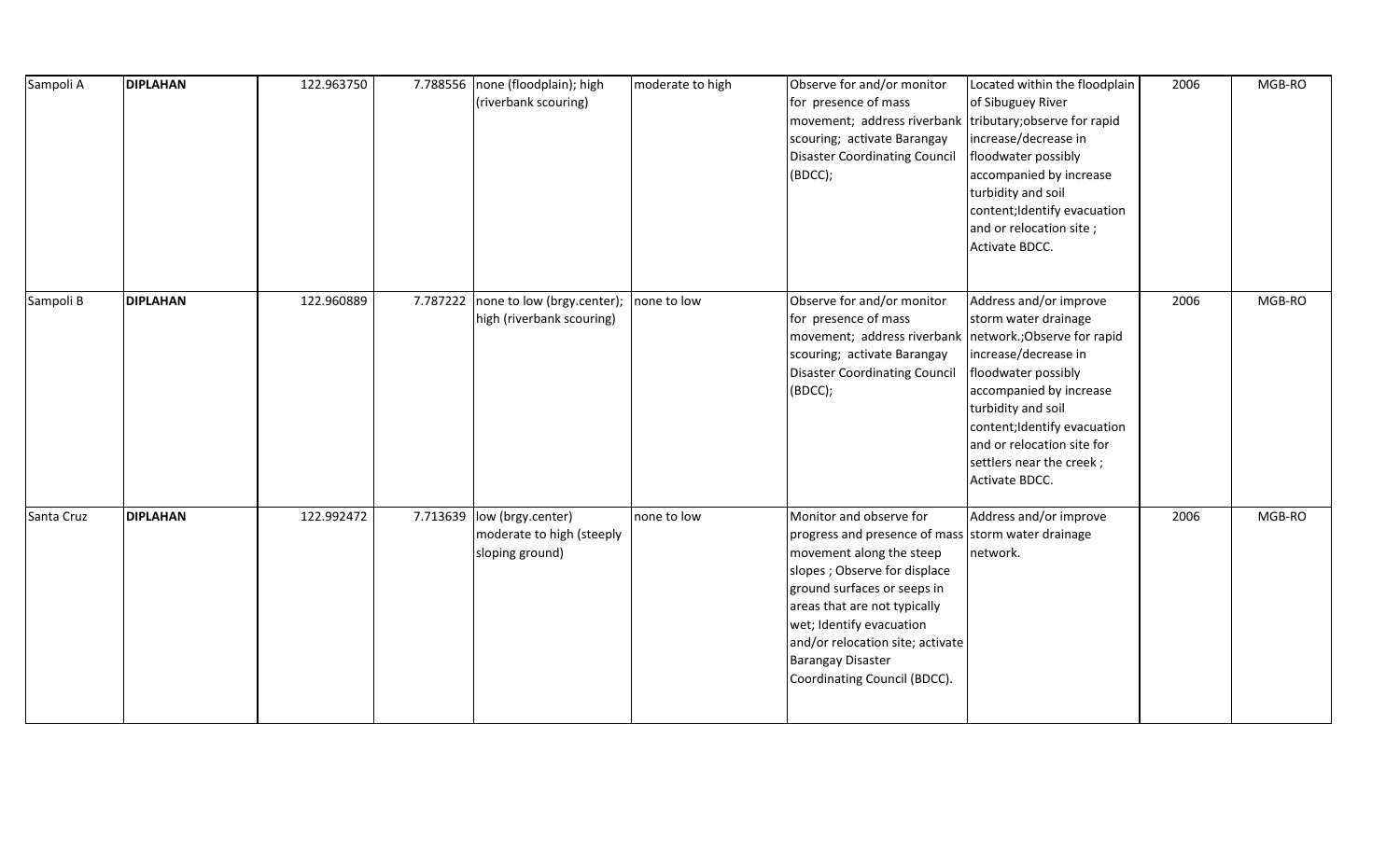| Sampoli A  | <b>DIPLAHAN</b> | 122.963750 | 7.788556 | none (floodplain); high<br>(riverbank scouring)                   | moderate to high | Observe for and/or monitor<br>for presence of mass<br>movement; address riverbank<br>scouring; activate Barangay<br><b>Disaster Coordinating Council</b><br>(BDCC);                                                                                                                                                                   | Located within the floodplain<br>of Sibuguey River<br>tributary; observe for rapid<br>increase/decrease in<br>floodwater possibly<br>accompanied by increase<br>turbidity and soil<br>content; Identify evacuation<br>and or relocation site;<br>Activate BDCC.                           | 2006 | MGB-RO |
|------------|-----------------|------------|----------|-------------------------------------------------------------------|------------------|---------------------------------------------------------------------------------------------------------------------------------------------------------------------------------------------------------------------------------------------------------------------------------------------------------------------------------------|-------------------------------------------------------------------------------------------------------------------------------------------------------------------------------------------------------------------------------------------------------------------------------------------|------|--------|
| Sampoli B  | <b>DIPLAHAN</b> | 122.960889 | 7.787222 | none to low (brgy.center);<br>high (riverbank scouring)           | none to low      | Observe for and/or monitor<br>for presence of mass<br>movement; address riverbank<br>scouring; activate Barangay<br><b>Disaster Coordinating Council</b><br>(BDCC);                                                                                                                                                                   | Address and/or improve<br>storm water drainage<br>network.; Observe for rapid<br>increase/decrease in<br>floodwater possibly<br>accompanied by increase<br>turbidity and soil<br>content; Identify evacuation<br>and or relocation site for<br>settlers near the creek;<br>Activate BDCC. | 2006 | MGB-RO |
| Santa Cruz | <b>DIPLAHAN</b> | 122.992472 | 7.713639 | low (brgy.center)<br>moderate to high (steeply<br>sloping ground) | none to low      | Monitor and observe for<br>progress and presence of mass storm water drainage<br>movement along the steep<br>slopes ; Observe for displace<br>ground surfaces or seeps in<br>areas that are not typically<br>wet; Identify evacuation<br>and/or relocation site; activate<br><b>Barangay Disaster</b><br>Coordinating Council (BDCC). | Address and/or improve<br>network.                                                                                                                                                                                                                                                        | 2006 | MGB-RO |